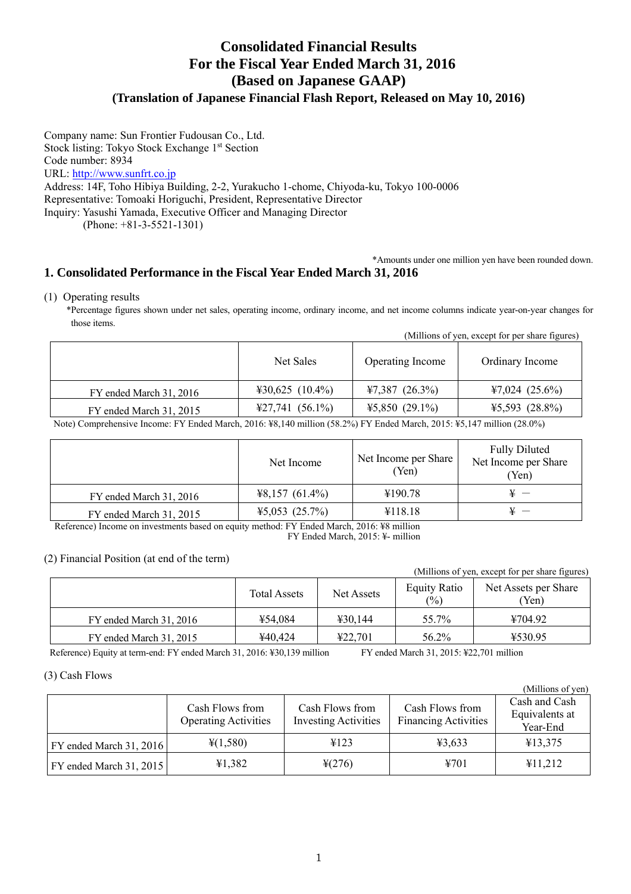# **Consolidated Financial Results For the Fiscal Year Ended March 31, 2016 (Based on Japanese GAAP) (Translation of Japanese Financial Flash Report, Released on May 10, 2016)**

Company name: Sun Frontier Fudousan Co., Ltd. Stock listing: Tokyo Stock Exchange 1<sup>st</sup> Section Code number: 8934 URL: http://www.sunfrt.co.jp Address: 14F, Toho Hibiya Building, 2-2, Yurakucho 1-chome, Chiyoda-ku, Tokyo 100-0006 Representative: Tomoaki Horiguchi, President, Representative Director Inquiry: Yasushi Yamada, Executive Officer and Managing Director (Phone: +81-3-5521-1301)

## \*Amounts under one million yen have been rounded down. **1. Consolidated Performance in the Fiscal Year Ended March 31, 2016**

(1) Operating results

\*Percentage figures shown under net sales, operating income, ordinary income, and net income columns indicate year-on-year changes for those items.

|  | (Millions of yen, except for per share figures) |  |
|--|-------------------------------------------------|--|
|  |                                                 |  |

|                         | Net Sales                 | Operating Income | Ordinary Income     |
|-------------------------|---------------------------|------------------|---------------------|
| FY ended March 31, 2016 | $430,625$ (10.4%)         | $47,387$ (26.3%) | $47,024$ (25.6%)    |
| FY ended March 31, 2015 | $\text{\#27,741}(56.1\%)$ | $45,850(29.1\%)$ | $45,593$ $(28.8\%)$ |

Note) Comprehensive Income: FY Ended March, 2016: ¥8,140 million (58.2%) FY Ended March, 2015: ¥5,147 million (28.0%)

|                         | Net Income       | Net Income per Share<br>'Yen) | <b>Fully Diluted</b><br>Net Income per Share<br>(Yen) |
|-------------------------|------------------|-------------------------------|-------------------------------------------------------|
| FY ended March 31, 2016 | $48,157(61.4\%)$ | ¥190.78                       |                                                       |
| FY ended March 31, 2015 | $45,053$ (25.7%) | ¥118.18                       |                                                       |

 Reference) Income on investments based on equity method: FY Ended March, 2016: ¥8 million FY Ended March, 2015: ¥- million

## (2) Financial Position (at end of the term)

|                         |                     |            |                               | (Millions of yen, except for per share figures) |
|-------------------------|---------------------|------------|-------------------------------|-------------------------------------------------|
|                         | <b>Total Assets</b> | Net Assets | <b>Equity Ratio</b><br>$(\%)$ | Net Assets per Share<br>(Yen)                   |
| FY ended March 31, 2016 | ¥54.084             | 430.144    | 55.7%                         | ¥704.92                                         |
| FY ended March 31, 2015 | ¥40.424             | 422.701    | 56.2%                         | ¥530.95                                         |

Reference) Equity at term-end: FY ended March 31, 2016: ¥30,139 million FY ended March 31, 2015: ¥22,701 million

 $(M11)$  and  $(M11)$ 

## (3) Cash Flows

| TMITHOUS OF ACITY         |                                                |                                                |                                                |                                             |  |  |
|---------------------------|------------------------------------------------|------------------------------------------------|------------------------------------------------|---------------------------------------------|--|--|
|                           | Cash Flows from<br><b>Operating Activities</b> | Cash Flows from<br><b>Investing Activities</b> | Cash Flows from<br><b>Financing Activities</b> | Cash and Cash<br>Equivalents at<br>Year-End |  |  |
| FY ended March $31, 2016$ | $\frac{1}{2}(1,580)$                           | 4123                                           | 43,633                                         | ¥13,375                                     |  |  |
| FY ended March 31, 2015   | 41,382                                         | $\frac{1}{2}(276)$                             | 4701                                           | ¥11,212                                     |  |  |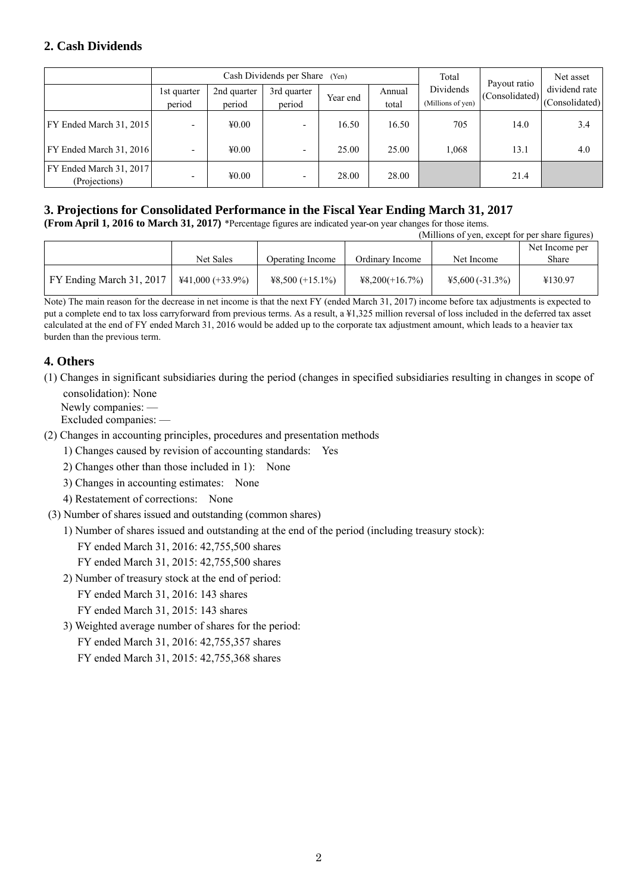# **2. Cash Dividends**

|                                          |                       | Cash Dividends per Share<br>(Yen) |                       |          | Total           | Payout ratio                   | Net asset              |                                 |
|------------------------------------------|-----------------------|-----------------------------------|-----------------------|----------|-----------------|--------------------------------|------------------------|---------------------------------|
|                                          | 1st quarter<br>period | 2nd quarter<br>period             | 3rd quarter<br>period | Year end | Annual<br>total | Dividends<br>(Millions of yen) | $ $ (Consolidated) $ $ | dividend rate<br>(Consolidated) |
| FY Ended March 31, 2015                  |                       | 40.00                             |                       | 16.50    | 16.50           | 705                            | 14.0                   | 3.4                             |
| FY Ended March 31, 2016                  |                       | 40.00                             |                       | 25.00    | 25.00           | 1,068                          | 13.1                   | 4.0                             |
| FY Ended March 31, 2017<br>(Projections) |                       | 40.00                             |                       | 28.00    | 28.00           |                                | 21.4                   |                                 |

# **3. Projections for Consolidated Performance in the Fiscal Year Ending March 31, 2017**

**(From April 1, 2016 to March 31, 2017)** \*Percentage figures are indicated year-on year changes for those items.

| (Millions of yen, except for per share figures) |                     |                    |                  |                   |                |
|-------------------------------------------------|---------------------|--------------------|------------------|-------------------|----------------|
|                                                 |                     |                    |                  |                   | Net Income per |
|                                                 | Net Sales           | Operating Income   | Ordinary Income  | Net Income        | Share          |
| FY Ending March 31, 2017                        | $441,000 (+33.9\%)$ | $48,500 (+15.1\%)$ | $48,200(+16.7%)$ | $45,600(-31.3\%)$ | ¥130.97        |

Note) The main reason for the decrease in net income is that the next FY (ended March 31, 2017) income before tax adjustments is expected to put a complete end to tax loss carryforward from previous terms. As a result, a ¥1,325 million reversal of loss included in the deferred tax asset calculated at the end of FY ended March 31, 2016 would be added up to the corporate tax adjustment amount, which leads to a heavier tax burden than the previous term.

# **4. Others**

- (1) Changes in significant subsidiaries during the period (changes in specified subsidiaries resulting in changes in scope of consolidation): None
	- Newly companies: —

Excluded companies: —

- (2) Changes in accounting principles, procedures and presentation methods
	- 1) Changes caused by revision of accounting standards: Yes
	- 2) Changes other than those included in 1): None
	- 3) Changes in accounting estimates: None
	- 4) Restatement of corrections: None
- (3) Number of shares issued and outstanding (common shares)
	- 1) Number of shares issued and outstanding at the end of the period (including treasury stock):

FY ended March 31, 2016: 42,755,500 shares

- FY ended March 31, 2015: 42,755,500 shares
- 2) Number of treasury stock at the end of period:
	- FY ended March 31, 2016: 143 shares
	- FY ended March 31, 2015: 143 shares
- 3) Weighted average number of shares for the period:
	- FY ended March 31, 2016: 42,755,357 shares
	- FY ended March 31, 2015: 42,755,368 shares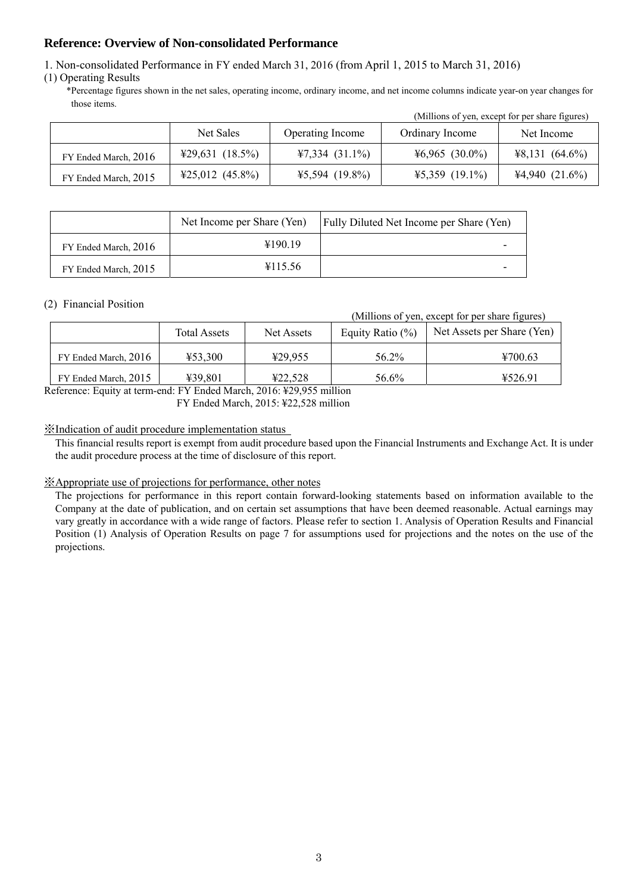## **Reference: Overview of Non-consolidated Performance**

1. Non-consolidated Performance in FY ended March 31, 2016 (from April 1, 2015 to March 31, 2016)

(1) Operating Results

\*Percentage figures shown in the net sales, operating income, ordinary income, and net income columns indicate year-on year changes for those items.

|                      | Net Sales                             | Operating Income | Ordinary Income  | Net Income       |
|----------------------|---------------------------------------|------------------|------------------|------------------|
| FY Ended March, 2016 | $\text{\textsterling}29,631 (18.5\%)$ | $47,334(31.1\%)$ | $46,965$ (30.0%) | $48,131(64.6\%)$ |
| FY Ended March, 2015 | $425,012$ (45.8%)                     | $45,594$ (19.8%) | $45,359$ (19.1%) | 44,940(21.6%)    |

|                      | Net Income per Share (Yen) | <b>Fully Diluted Net Income per Share (Yen)</b> |
|----------------------|----------------------------|-------------------------------------------------|
| FY Ended March, 2016 | ¥190.19                    |                                                 |
| FY Ended March, 2015 | ¥115.56                    |                                                 |

## (2) Financial Position

(Millions of yen, except for per share figures)

(Millions of yen, except for per share figures)

|                      | <b>Total Assets</b> | Net Assets | Equity Ratio $(\%)$ | Net Assets per Share (Yen) |
|----------------------|---------------------|------------|---------------------|----------------------------|
| FY Ended March, 2016 | 453,300             | ¥29.955    | 56.2%               | ¥700.63                    |
| FY Ended March, 2015 | ¥39.801             | 422.528    | 56.6%               | ¥526.91                    |

Reference: Equity at term-end: FY Ended March, 2016: ¥29,955 million FY Ended March, 2015: ¥22,528 million

## ※Indication of audit procedure implementation status

This financial results report is exempt from audit procedure based upon the Financial Instruments and Exchange Act. It is under the audit procedure process at the time of disclosure of this report.

## ※Appropriate use of projections for performance, other notes

The projections for performance in this report contain forward-looking statements based on information available to the Company at the date of publication, and on certain set assumptions that have been deemed reasonable. Actual earnings may vary greatly in accordance with a wide range of factors. Please refer to section 1. Analysis of Operation Results and Financial Position (1) Analysis of Operation Results on page 7 for assumptions used for projections and the notes on the use of the projections.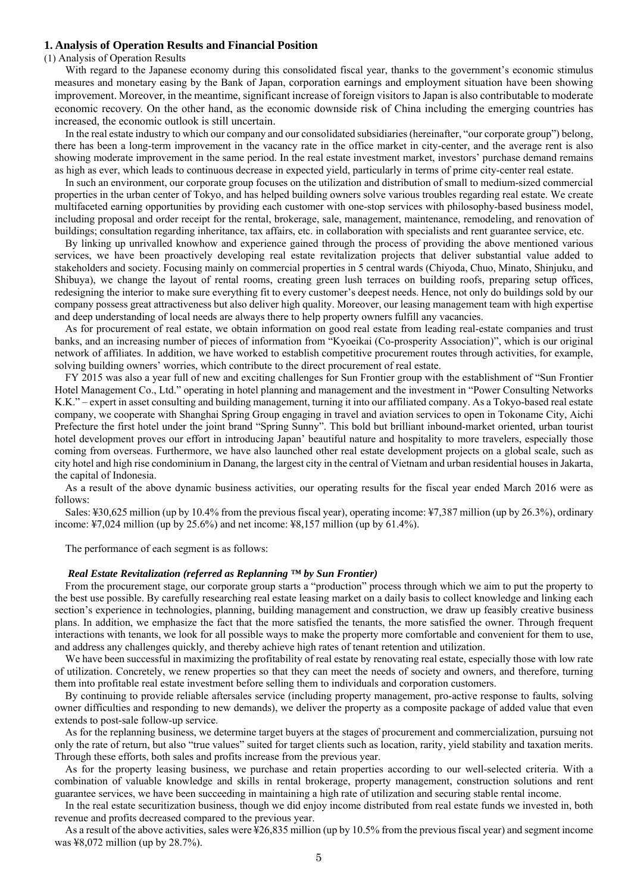#### **1. Analysis of Operation Results and Financial Position**

### (1) Analysis of Operation Results

With regard to the Japanese economy during this consolidated fiscal year, thanks to the government's economic stimulus measures and monetary easing by the Bank of Japan, corporation earnings and employment situation have been showing improvement. Moreover, in the meantime, significant increase of foreign visitors to Japan is also contributable to moderate economic recovery. On the other hand, as the economic downside risk of China including the emerging countries has increased, the economic outlook is still uncertain.

In the real estate industry to which our company and our consolidated subsidiaries (hereinafter, "our corporate group") belong, there has been a long-term improvement in the vacancy rate in the office market in city-center, and the average rent is also showing moderate improvement in the same period. In the real estate investment market, investors' purchase demand remains as high as ever, which leads to continuous decrease in expected yield, particularly in terms of prime city-center real estate.

In such an environment, our corporate group focuses on the utilization and distribution of small to medium-sized commercial properties in the urban center of Tokyo, and has helped building owners solve various troubles regarding real estate. We create multifaceted earning opportunities by providing each customer with one-stop services with philosophy-based business model, including proposal and order receipt for the rental, brokerage, sale, management, maintenance, remodeling, and renovation of buildings; consultation regarding inheritance, tax affairs, etc. in collaboration with specialists and rent guarantee service, etc.

By linking up unrivalled knowhow and experience gained through the process of providing the above mentioned various services, we have been proactively developing real estate revitalization projects that deliver substantial value added to stakeholders and society. Focusing mainly on commercial properties in 5 central wards (Chiyoda, Chuo, Minato, Shinjuku, and Shibuya), we change the layout of rental rooms, creating green lush terraces on building roofs, preparing setup offices, redesigning the interior to make sure everything fit to every customer's deepest needs. Hence, not only do buildings sold by our company possess great attractiveness but also deliver high quality. Moreover, our leasing management team with high expertise and deep understanding of local needs are always there to help property owners fulfill any vacancies.

As for procurement of real estate, we obtain information on good real estate from leading real-estate companies and trust banks, and an increasing number of pieces of information from "Kyoeikai (Co-prosperity Association)", which is our original network of affiliates. In addition, we have worked to establish competitive procurement routes through activities, for example, solving building owners' worries, which contribute to the direct procurement of real estate.

FY 2015 was also a year full of new and exciting challenges for Sun Frontier group with the establishment of "Sun Frontier Hotel Management Co., Ltd." operating in hotel planning and management and the investment in "Power Consulting Networks K.K." – expert in asset consulting and building management, turning it into our affiliated company. As a Tokyo-based real estate company, we cooperate with Shanghai Spring Group engaging in travel and aviation services to open in Tokoname City, Aichi Prefecture the first hotel under the joint brand "Spring Sunny". This bold but brilliant inbound-market oriented, urban tourist hotel development proves our effort in introducing Japan' beautiful nature and hospitality to more travelers, especially those coming from overseas. Furthermore, we have also launched other real estate development projects on a global scale, such as city hotel and high rise condominium in Danang, the largest city in the central of Vietnam and urban residential houses in Jakarta, the capital of Indonesia.

As a result of the above dynamic business activities, our operating results for the fiscal year ended March 2016 were as follows:

Sales: ¥30,625 million (up by 10.4% from the previous fiscal year), operating income: ¥7,387 million (up by 26.3%), ordinary income:  $\frac{1}{2}$ ,024 million (up by 25.6%) and net income:  $\frac{1}{2}$ 8.157 million (up by 61.4%).

The performance of each segment is as follows:

### *Real Estate Revitalization (referred as Replanning ™ by Sun Frontier)*

From the procurement stage, our corporate group starts a "production" process through which we aim to put the property to the best use possible. By carefully researching real estate leasing market on a daily basis to collect knowledge and linking each section's experience in technologies, planning, building management and construction, we draw up feasibly creative business plans. In addition, we emphasize the fact that the more satisfied the tenants, the more satisfied the owner. Through frequent interactions with tenants, we look for all possible ways to make the property more comfortable and convenient for them to use, and address any challenges quickly, and thereby achieve high rates of tenant retention and utilization.

We have been successful in maximizing the profitability of real estate by renovating real estate, especially those with low rate of utilization. Concretely, we renew properties so that they can meet the needs of society and owners, and therefore, turning them into profitable real estate investment before selling them to individuals and corporation customers.

By continuing to provide reliable aftersales service (including property management, pro-active response to faults, solving owner difficulties and responding to new demands), we deliver the property as a composite package of added value that even extends to post-sale follow-up service.

As for the replanning business, we determine target buyers at the stages of procurement and commercialization, pursuing not only the rate of return, but also "true values" suited for target clients such as location, rarity, yield stability and taxation merits. Through these efforts, both sales and profits increase from the previous year.

As for the property leasing business, we purchase and retain properties according to our well-selected criteria. With a combination of valuable knowledge and skills in rental brokerage, property management, construction solutions and rent guarantee services, we have been succeeding in maintaining a high rate of utilization and securing stable rental income.

In the real estate securitization business, though we did enjoy income distributed from real estate funds we invested in, both revenue and profits decreased compared to the previous year.

As a result of the above activities, sales were ¥26,835 million (up by 10.5% from the previous fiscal year) and segment income was ¥8,072 million (up by 28.7%).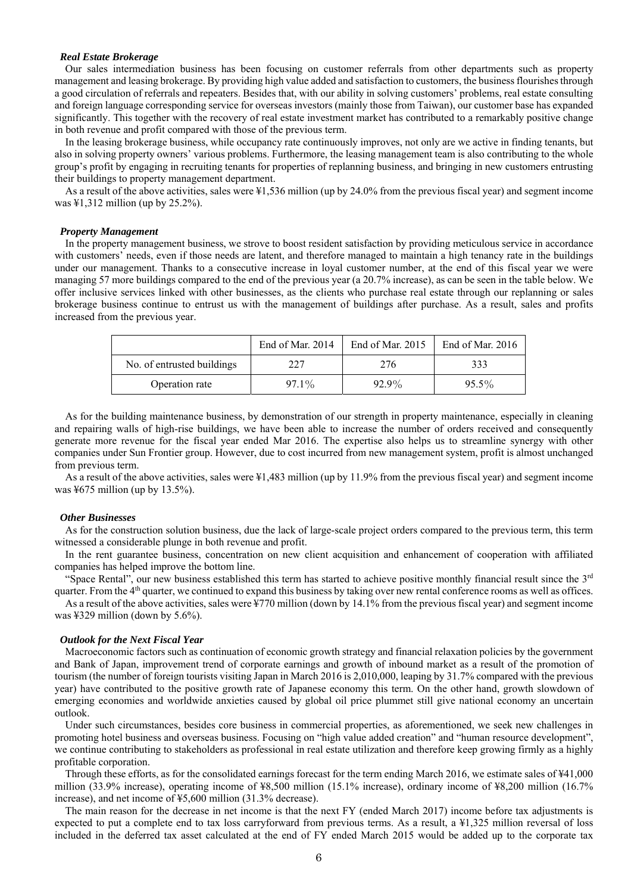#### *Real Estate Brokerage*

Our sales intermediation business has been focusing on customer referrals from other departments such as property management and leasing brokerage. By providing high value added and satisfaction to customers, the business flourishes through a good circulation of referrals and repeaters. Besides that, with our ability in solving customers' problems, real estate consulting and foreign language corresponding service for overseas investors (mainly those from Taiwan), our customer base has expanded significantly. This together with the recovery of real estate investment market has contributed to a remarkably positive change in both revenue and profit compared with those of the previous term.

In the leasing brokerage business, while occupancy rate continuously improves, not only are we active in finding tenants, but also in solving property owners' various problems. Furthermore, the leasing management team is also contributing to the whole group's profit by engaging in recruiting tenants for properties of replanning business, and bringing in new customers entrusting their buildings to property management department.

As a result of the above activities, sales were ¥1,536 million (up by 24.0% from the previous fiscal year) and segment income was ¥1,312 million (up by 25.2%).

#### *Property Management*

In the property management business, we strove to boost resident satisfaction by providing meticulous service in accordance with customers' needs, even if those needs are latent, and therefore managed to maintain a high tenancy rate in the buildings under our management. Thanks to a consecutive increase in loyal customer number, at the end of this fiscal year we were managing 57 more buildings compared to the end of the previous year (a 20.7% increase), as can be seen in the table below. We offer inclusive services linked with other businesses, as the clients who purchase real estate through our replanning or sales brokerage business continue to entrust us with the management of buildings after purchase. As a result, sales and profits increased from the previous year.

|                            | End of Mar. 2014 | End of Mar. 2015 | End of Mar. $2016$ |
|----------------------------|------------------|------------------|--------------------|
| No. of entrusted buildings | 227              | 276              | 333                |
| Operation rate             | $97.1\%$         | $92.9\%$         | $95.5\%$           |

As for the building maintenance business, by demonstration of our strength in property maintenance, especially in cleaning and repairing walls of high-rise buildings, we have been able to increase the number of orders received and consequently generate more revenue for the fiscal year ended Mar 2016. The expertise also helps us to streamline synergy with other companies under Sun Frontier group. However, due to cost incurred from new management system, profit is almost unchanged from previous term.

As a result of the above activities, sales were ¥1,483 million (up by 11.9% from the previous fiscal year) and segment income was ¥675 million (up by 13.5%).

#### *Other Businesses*

As for the construction solution business, due the lack of large-scale project orders compared to the previous term, this term witnessed a considerable plunge in both revenue and profit.

In the rent guarantee business, concentration on new client acquisition and enhancement of cooperation with affiliated companies has helped improve the bottom line.

"Space Rental", our new business established this term has started to achieve positive monthly financial result since the 3<sup>rd</sup> quarter. From the 4<sup>th</sup> quarter, we continued to expand this business by taking over new rental conference rooms as well as offices.

As a result of the above activities, sales were ¥770 million (down by 14.1% from the previous fiscal year) and segment income was ¥329 million (down by 5.6%).

#### *Outlook for the Next Fiscal Year*

Macroeconomic factors such as continuation of economic growth strategy and financial relaxation policies by the government and Bank of Japan, improvement trend of corporate earnings and growth of inbound market as a result of the promotion of tourism (the number of foreign tourists visiting Japan in March 2016 is 2,010,000, leaping by 31.7% compared with the previous year) have contributed to the positive growth rate of Japanese economy this term. On the other hand, growth slowdown of emerging economies and worldwide anxieties caused by global oil price plummet still give national economy an uncertain outlook.

Under such circumstances, besides core business in commercial properties, as aforementioned, we seek new challenges in promoting hotel business and overseas business. Focusing on "high value added creation" and "human resource development", we continue contributing to stakeholders as professional in real estate utilization and therefore keep growing firmly as a highly profitable corporation.

Through these efforts, as for the consolidated earnings forecast for the term ending March 2016, we estimate sales of ¥41,000 million (33.9% increase), operating income of ¥8,500 million (15.1% increase), ordinary income of ¥8,200 million (16.7% increase), and net income of ¥5,600 million (31.3% decrease).

The main reason for the decrease in net income is that the next FY (ended March 2017) income before tax adjustments is expected to put a complete end to tax loss carryforward from previous terms. As a result, a ¥1,325 million reversal of loss included in the deferred tax asset calculated at the end of FY ended March 2015 would be added up to the corporate tax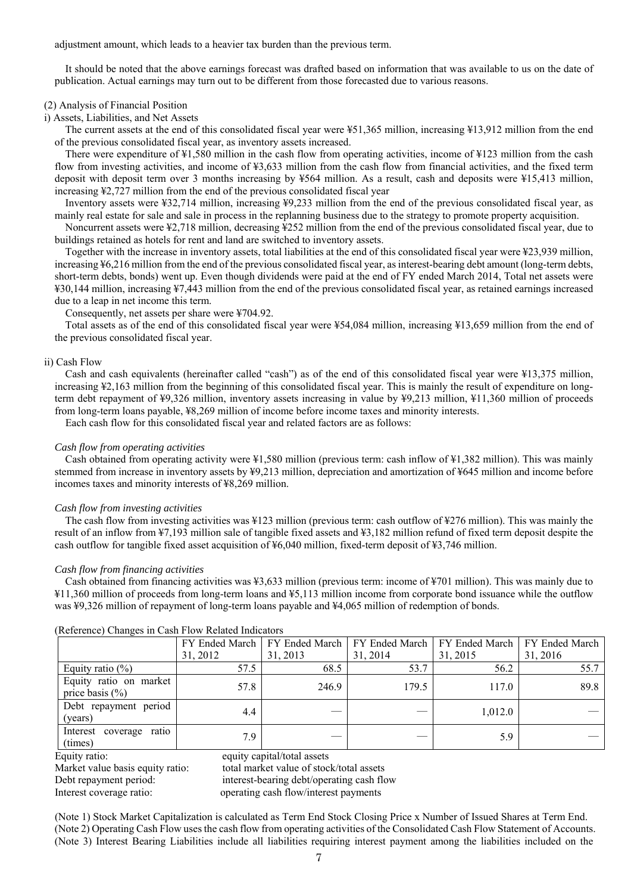adjustment amount, which leads to a heavier tax burden than the previous term.

It should be noted that the above earnings forecast was drafted based on information that was available to us on the date of publication. Actual earnings may turn out to be different from those forecasted due to various reasons.

### (2) Analysis of Financial Position

i) Assets, Liabilities, and Net Assets

The current assets at the end of this consolidated fiscal year were ¥51,365 million, increasing ¥13,912 million from the end of the previous consolidated fiscal year, as inventory assets increased.

There were expenditure of ¥1,580 million in the cash flow from operating activities, income of ¥123 million from the cash flow from investing activities, and income of ¥3,633 million from the cash flow from financial activities, and the fixed term deposit with deposit term over 3 months increasing by ¥564 million. As a result, cash and deposits were ¥15,413 million, increasing ¥2,727 million from the end of the previous consolidated fiscal year

Inventory assets were ¥32,714 million, increasing ¥9,233 million from the end of the previous consolidated fiscal year, as mainly real estate for sale and sale in process in the replanning business due to the strategy to promote property acquisition.

Noncurrent assets were ¥2,718 million, decreasing ¥252 million from the end of the previous consolidated fiscal year, due to buildings retained as hotels for rent and land are switched to inventory assets.

Together with the increase in inventory assets, total liabilities at the end of this consolidated fiscal year were ¥23,939 million, increasing ¥6,216 million from the end of the previous consolidated fiscal year, as interest-bearing debt amount (long-term debts, short-term debts, bonds) went up. Even though dividends were paid at the end of FY ended March 2014, Total net assets were ¥30,144 million, increasing ¥7,443 million from the end of the previous consolidated fiscal year, as retained earnings increased due to a leap in net income this term.

Consequently, net assets per share were ¥704.92.

Total assets as of the end of this consolidated fiscal year were ¥54,084 million, increasing ¥13,659 million from the end of the previous consolidated fiscal year.

#### ii) Cash Flow

Cash and cash equivalents (hereinafter called "cash") as of the end of this consolidated fiscal year were ¥13,375 million, increasing ¥2,163 million from the beginning of this consolidated fiscal year. This is mainly the result of expenditure on longterm debt repayment of ¥9,326 million, inventory assets increasing in value by ¥9,213 million, ¥11,360 million of proceeds from long-term loans payable, ¥8,269 million of income before income taxes and minority interests.

Each cash flow for this consolidated fiscal year and related factors are as follows:

#### *Cash flow from operating activities*

Cash obtained from operating activity were ¥1,580 million (previous term: cash inflow of ¥1,382 million). This was mainly stemmed from increase in inventory assets by ¥9,213 million, depreciation and amortization of ¥645 million and income before incomes taxes and minority interests of ¥8,269 million.

#### *Cash flow from investing activities*

The cash flow from investing activities was ¥123 million (previous term: cash outflow of ¥276 million). This was mainly the result of an inflow from ¥7,193 million sale of tangible fixed assets and ¥3,182 million refund of fixed term deposit despite the cash outflow for tangible fixed asset acquisition of ¥6,040 million, fixed-term deposit of ¥3,746 million.

#### *Cash flow from financing activities*

Cash obtained from financing activities was ¥3,633 million (previous term: income of ¥701 million). This was mainly due to ¥11,360 million of proceeds from long-term loans and ¥5,113 million income from corporate bond issuance while the outflow was ¥9,326 million of repayment of long-term loans payable and ¥4,065 million of redemption of bonds.

| $(1,0,0,0,0,0)$ changes in easily for reduced indicators |          |          |          |                                                                                    |          |  |
|----------------------------------------------------------|----------|----------|----------|------------------------------------------------------------------------------------|----------|--|
|                                                          |          |          |          | FY Ended March   FY Ended March   FY Ended March   FY Ended March   FY Ended March |          |  |
|                                                          | 31, 2012 | 31, 2013 | 31, 2014 | 31, 2015                                                                           | 31, 2016 |  |
| Equity ratio $(\%)$                                      | 57.5     | 68.5     | 53.7     | 56.2                                                                               | 55.7     |  |
| Equity ratio on market<br>price basis $(\% )$            | 57.8     | 246.9    | 179.5    | 117.0                                                                              | 89.8     |  |
| Debt repayment period<br>(years)                         | 4.4      |          |          | 1,012.0                                                                            |          |  |
| Interest coverage ratio<br>(times)                       | 7.9      |          |          | 5.9                                                                                |          |  |

## (Reference) Changes in Cash Flow Related Indicators

Equity ratio: equity capital/total assets Market value basis equity ratio: total market value of stock/total assets Debt repayment period: interest-bearing debt/operating cash flow Interest coverage ratio: operating cash flow/interest payments

(Note 1) Stock Market Capitalization is calculated as Term End Stock Closing Price x Number of Issued Shares at Term End. (Note 2) Operating Cash Flow uses the cash flow from operating activities of the Consolidated Cash Flow Statement of Accounts. (Note 3) Interest Bearing Liabilities include all liabilities requiring interest payment among the liabilities included on the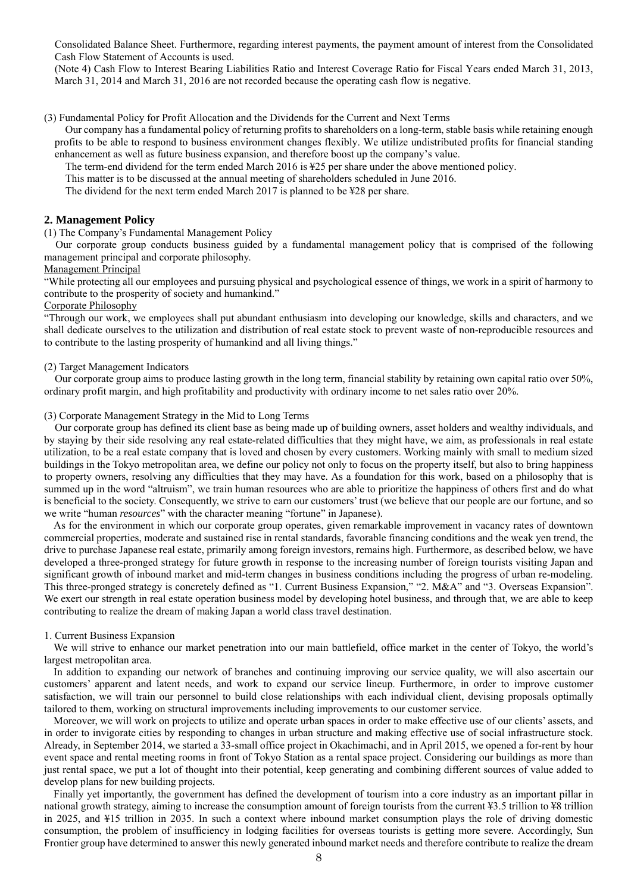Consolidated Balance Sheet. Furthermore, regarding interest payments, the payment amount of interest from the Consolidated Cash Flow Statement of Accounts is used.

(Note 4) Cash Flow to Interest Bearing Liabilities Ratio and Interest Coverage Ratio for Fiscal Years ended March 31, 2013, March 31, 2014 and March 31, 2016 are not recorded because the operating cash flow is negative.

#### (3) Fundamental Policy for Profit Allocation and the Dividends for the Current and Next Terms

Our company has a fundamental policy of returning profits to shareholders on a long-term, stable basis while retaining enough profits to be able to respond to business environment changes flexibly. We utilize undistributed profits for financial standing enhancement as well as future business expansion, and therefore boost up the company's value.

The term-end dividend for the term ended March 2016 is ¥25 per share under the above mentioned policy.

This matter is to be discussed at the annual meeting of shareholders scheduled in June 2016.

The dividend for the next term ended March 2017 is planned to be ¥28 per share.

### **2. Management Policy**

(1) The Company's Fundamental Management Policy

Our corporate group conducts business guided by a fundamental management policy that is comprised of the following management principal and corporate philosophy.

## Management Principal

"While protecting all our employees and pursuing physical and psychological essence of things, we work in a spirit of harmony to contribute to the prosperity of society and humankind."

## Corporate Philosophy

"Through our work, we employees shall put abundant enthusiasm into developing our knowledge, skills and characters, and we shall dedicate ourselves to the utilization and distribution of real estate stock to prevent waste of non-reproducible resources and to contribute to the lasting prosperity of humankind and all living things."

## (2) Target Management Indicators

Our corporate group aims to produce lasting growth in the long term, financial stability by retaining own capital ratio over 50%, ordinary profit margin, and high profitability and productivity with ordinary income to net sales ratio over 20%.

### (3) Corporate Management Strategy in the Mid to Long Terms

 Our corporate group has defined its client base as being made up of building owners, asset holders and wealthy individuals, and by staying by their side resolving any real estate-related difficulties that they might have, we aim, as professionals in real estate utilization, to be a real estate company that is loved and chosen by every customers. Working mainly with small to medium sized buildings in the Tokyo metropolitan area, we define our policy not only to focus on the property itself, but also to bring happiness to property owners, resolving any difficulties that they may have. As a foundation for this work, based on a philosophy that is summed up in the word "altruism", we train human resources who are able to prioritize the happiness of others first and do what is beneficial to the society. Consequently, we strive to earn our customers' trust (we believe that our people are our fortune, and so we write "human *resources*" with the character meaning "fortune" in Japanese).

As for the environment in which our corporate group operates, given remarkable improvement in vacancy rates of downtown commercial properties, moderate and sustained rise in rental standards, favorable financing conditions and the weak yen trend, the drive to purchase Japanese real estate, primarily among foreign investors, remains high. Furthermore, as described below, we have developed a three-pronged strategy for future growth in response to the increasing number of foreign tourists visiting Japan and significant growth of inbound market and mid-term changes in business conditions including the progress of urban re-modeling. This three-pronged strategy is concretely defined as "1. Current Business Expansion," "2. M&A" and "3. Overseas Expansion". We exert our strength in real estate operation business model by developing hotel business, and through that, we are able to keep contributing to realize the dream of making Japan a world class travel destination.

#### 1. Current Business Expansion

We will strive to enhance our market penetration into our main battlefield, office market in the center of Tokyo, the world's largest metropolitan area.

In addition to expanding our network of branches and continuing improving our service quality, we will also ascertain our customers' apparent and latent needs, and work to expand our service lineup. Furthermore, in order to improve customer satisfaction, we will train our personnel to build close relationships with each individual client, devising proposals optimally tailored to them, working on structural improvements including improvements to our customer service.

Moreover, we will work on projects to utilize and operate urban spaces in order to make effective use of our clients' assets, and in order to invigorate cities by responding to changes in urban structure and making effective use of social infrastructure stock. Already, in September 2014, we started a 33-small office project in Okachimachi, and in April 2015, we opened a for-rent by hour event space and rental meeting rooms in front of Tokyo Station as a rental space project. Considering our buildings as more than just rental space, we put a lot of thought into their potential, keep generating and combining different sources of value added to develop plans for new building projects.

Finally yet importantly, the government has defined the development of tourism into a core industry as an important pillar in national growth strategy, aiming to increase the consumption amount of foreign tourists from the current ¥3.5 trillion to ¥8 trillion in 2025, and ¥15 trillion in 2035. In such a context where inbound market consumption plays the role of driving domestic consumption, the problem of insufficiency in lodging facilities for overseas tourists is getting more severe. Accordingly, Sun Frontier group have determined to answer this newly generated inbound market needs and therefore contribute to realize the dream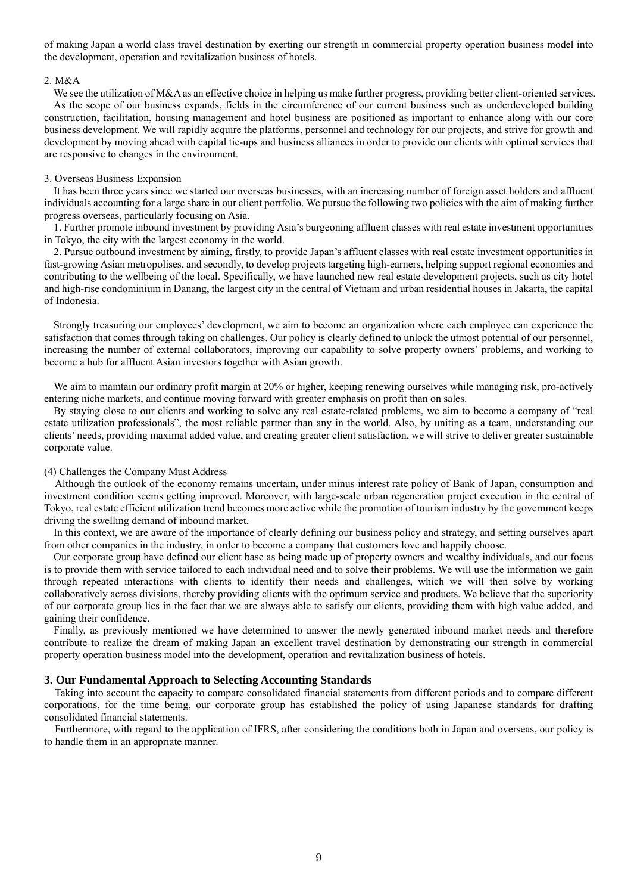of making Japan a world class travel destination by exerting our strength in commercial property operation business model into the development, operation and revitalization business of hotels.

#### 2. M&A

We see the utilization of M&A as an effective choice in helping us make further progress, providing better client-oriented services. As the scope of our business expands, fields in the circumference of our current business such as underdeveloped building construction, facilitation, housing management and hotel business are positioned as important to enhance along with our core business development. We will rapidly acquire the platforms, personnel and technology for our projects, and strive for growth and development by moving ahead with capital tie-ups and business alliances in order to provide our clients with optimal services that are responsive to changes in the environment.

### 3. Overseas Business Expansion

It has been three years since we started our overseas businesses, with an increasing number of foreign asset holders and affluent individuals accounting for a large share in our client portfolio. We pursue the following two policies with the aim of making further progress overseas, particularly focusing on Asia.

1. Further promote inbound investment by providing Asia's burgeoning affluent classes with real estate investment opportunities in Tokyo, the city with the largest economy in the world.

2. Pursue outbound investment by aiming, firstly, to provide Japan's affluent classes with real estate investment opportunities in fast-growing Asian metropolises, and secondly, to develop projects targeting high-earners, helping support regional economies and contributing to the wellbeing of the local. Specifically, we have launched new real estate development projects, such as city hotel and high-rise condominium in Danang, the largest city in the central of Vietnam and urban residential houses in Jakarta, the capital of Indonesia.

Strongly treasuring our employees' development, we aim to become an organization where each employee can experience the satisfaction that comes through taking on challenges. Our policy is clearly defined to unlock the utmost potential of our personnel, increasing the number of external collaborators, improving our capability to solve property owners' problems, and working to become a hub for affluent Asian investors together with Asian growth.

We aim to maintain our ordinary profit margin at 20% or higher, keeping renewing ourselves while managing risk, pro-actively entering niche markets, and continue moving forward with greater emphasis on profit than on sales.

By staying close to our clients and working to solve any real estate-related problems, we aim to become a company of "real estate utilization professionals", the most reliable partner than any in the world. Also, by uniting as a team, understanding our clients' needs, providing maximal added value, and creating greater client satisfaction, we will strive to deliver greater sustainable corporate value.

#### (4) Challenges the Company Must Address

Although the outlook of the economy remains uncertain, under minus interest rate policy of Bank of Japan, consumption and investment condition seems getting improved. Moreover, with large-scale urban regeneration project execution in the central of Tokyo, real estate efficient utilization trend becomes more active while the promotion of tourism industry by the government keeps driving the swelling demand of inbound market.

In this context, we are aware of the importance of clearly defining our business policy and strategy, and setting ourselves apart from other companies in the industry, in order to become a company that customers love and happily choose.

Our corporate group have defined our client base as being made up of property owners and wealthy individuals, and our focus is to provide them with service tailored to each individual need and to solve their problems. We will use the information we gain through repeated interactions with clients to identify their needs and challenges, which we will then solve by working collaboratively across divisions, thereby providing clients with the optimum service and products. We believe that the superiority of our corporate group lies in the fact that we are always able to satisfy our clients, providing them with high value added, and gaining their confidence.

Finally, as previously mentioned we have determined to answer the newly generated inbound market needs and therefore contribute to realize the dream of making Japan an excellent travel destination by demonstrating our strength in commercial property operation business model into the development, operation and revitalization business of hotels.

### **3. Our Fundamental Approach to Selecting Accounting Standards**

Taking into account the capacity to compare consolidated financial statements from different periods and to compare different corporations, for the time being, our corporate group has established the policy of using Japanese standards for drafting consolidated financial statements.

Furthermore, with regard to the application of IFRS, after considering the conditions both in Japan and overseas, our policy is to handle them in an appropriate manner.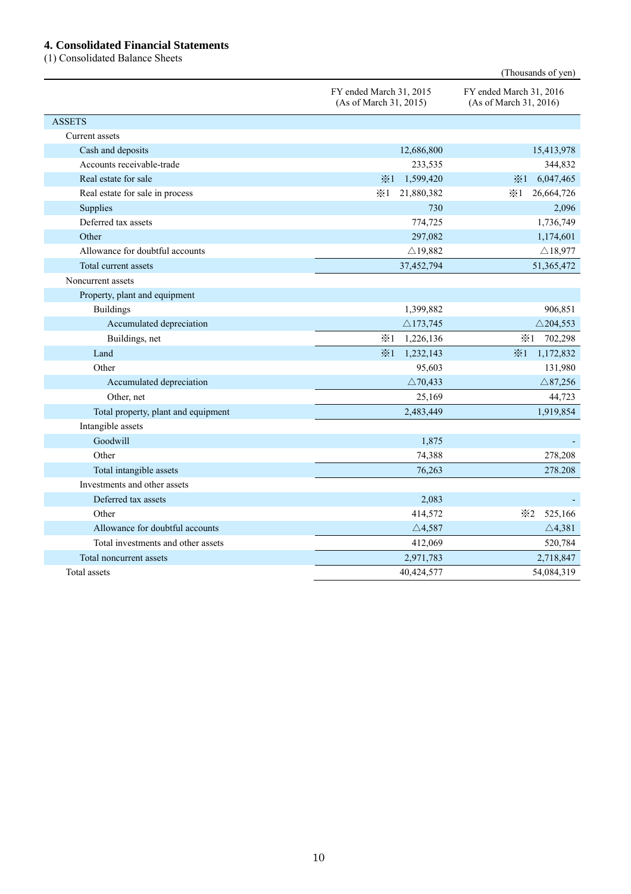## **4. Consolidated Financial Statements**

(1) Consolidated Balance Sheets

|                                     |                                                   | (Thousands of yen)                                |
|-------------------------------------|---------------------------------------------------|---------------------------------------------------|
|                                     | FY ended March 31, 2015<br>(As of March 31, 2015) | FY ended March 31, 2016<br>(As of March 31, 2016) |
| <b>ASSETS</b>                       |                                                   |                                                   |
| Current assets                      |                                                   |                                                   |
| Cash and deposits                   | 12,686,800                                        | 15,413,978                                        |
| Accounts receivable-trade           | 233,535                                           | 344,832                                           |
| Real estate for sale                | 1,599,420<br>$\times 1$                           | 6,047,465<br>$\times 1$                           |
| Real estate for sale in process     | $\times 1$<br>21,880,382                          | $\times 1$<br>26,664,726                          |
| Supplies                            | 730                                               | 2,096                                             |
| Deferred tax assets                 | 774,725                                           | 1,736,749                                         |
| Other                               | 297,082                                           | 1,174,601                                         |
| Allowance for doubtful accounts     | $\triangle$ 19,882                                | $\triangle$ 18,977                                |
| Total current assets                | 37,452,794                                        | 51,365,472                                        |
| Noncurrent assets                   |                                                   |                                                   |
| Property, plant and equipment       |                                                   |                                                   |
| <b>Buildings</b>                    | 1,399,882                                         | 906,851                                           |
| Accumulated depreciation            | $\triangle$ 173,745                               | $\triangle$ 204,553                               |
| Buildings, net                      | $\times 1$<br>1,226,136                           | $\divideontimes 1$<br>702,298                     |
| Land                                | $\frac{1}{2}$ 1<br>1,232,143                      | $\frac{1}{2}$ 1<br>1,172,832                      |
| Other                               | 95,603                                            | 131,980                                           |
| Accumulated depreciation            | $\triangle$ 70,433                                | $\triangle$ 87,256                                |
| Other, net                          | 25,169                                            | 44,723                                            |
| Total property, plant and equipment | 2,483,449                                         | 1,919,854                                         |
| Intangible assets                   |                                                   |                                                   |
| Goodwill                            | 1,875                                             |                                                   |
| Other                               | 74,388                                            | 278,208                                           |
| Total intangible assets             | 76,263                                            | 278.208                                           |
| Investments and other assets        |                                                   |                                                   |
| Deferred tax assets                 | 2,083                                             |                                                   |
| Other                               | 414,572                                           | 525,166<br>$\times 2$                             |
| Allowance for doubtful accounts     | $\triangle$ 4,587                                 | $\triangle$ 4,381                                 |
| Total investments and other assets  | 412,069                                           | 520,784                                           |
| Total noncurrent assets             | 2,971,783                                         | 2,718,847                                         |
| Total assets                        | 40,424,577                                        | 54,084,319                                        |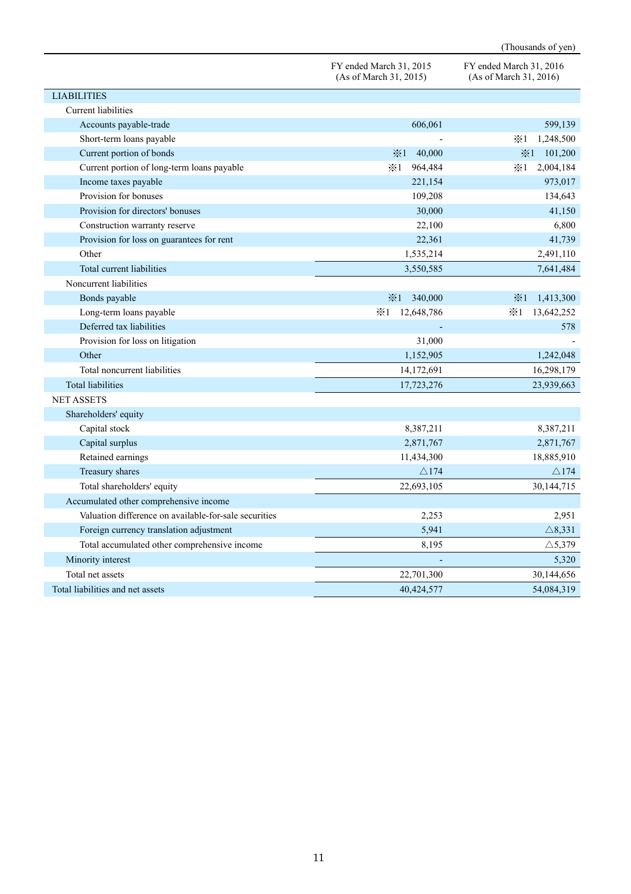|                                                       |                                                   | (Thousands of yen)                                |
|-------------------------------------------------------|---------------------------------------------------|---------------------------------------------------|
|                                                       | FY ended March 31, 2015<br>(As of March 31, 2015) | FY ended March 31, 2016<br>(As of March 31, 2016) |
| <b>LIABILITIES</b>                                    |                                                   |                                                   |
| Current liabilities                                   |                                                   |                                                   |
| Accounts payable-trade                                | 606,061                                           | 599,139                                           |
| Short-term loans payable                              |                                                   | $\times 1$<br>1,248,500                           |
| Current portion of bonds                              | $\frac{1}{2}$ 1<br>40,000                         | $\divideontimes 1$<br>101,200                     |
| Current portion of long-term loans payable            | $\times 1$<br>964,484                             | $\divideontimes 1$<br>2,004,184                   |
| Income taxes payable                                  | 221,154                                           | 973,017                                           |
| Provision for bonuses                                 | 109,208                                           | 134,643                                           |
| Provision for directors' bonuses                      | 30,000                                            | 41,150                                            |
| Construction warranty reserve                         | 22,100                                            | 6,800                                             |
| Provision for loss on guarantees for rent             | 22,361                                            | 41,739                                            |
| Other                                                 | 1,535,214                                         | 2,491,110                                         |
| Total current liabilities                             | 3,550,585                                         | 7,641,484                                         |
| Noncurrent liabilities                                |                                                   |                                                   |
| Bonds payable                                         | $\times 1$<br>340,000                             | $\times 1$<br>1,413,300                           |
| Long-term loans payable                               | 12,648,786<br>$\times 1$                          | 13,642,252<br>$\times 1$                          |
| Deferred tax liabilities                              |                                                   | 578                                               |
| Provision for loss on litigation                      | 31,000                                            |                                                   |
| Other                                                 | 1,152,905                                         | 1,242,048                                         |
| Total noncurrent liabilities                          | 14,172,691                                        | 16,298,179                                        |
| <b>Total liabilities</b>                              | 17,723,276                                        | 23,939,663                                        |
| <b>NET ASSETS</b>                                     |                                                   |                                                   |
| Shareholders' equity                                  |                                                   |                                                   |
| Capital stock                                         | 8,387,211                                         | 8,387,211                                         |
| Capital surplus                                       | 2,871,767                                         | 2,871,767                                         |
| Retained earnings                                     | 11,434,300                                        | 18,885,910                                        |
| Treasury shares                                       | $\triangle$ 174                                   | $\triangle$ 174                                   |
| Total shareholders' equity                            | 22,693,105                                        | 30,144,715                                        |
| Accumulated other comprehensive income                |                                                   |                                                   |
| Valuation difference on available-for-sale securities | 2,253                                             | 2,951                                             |
| Foreign currency translation adjustment               | 5,941                                             | $\triangle$ 8,331                                 |
| Total accumulated other comprehensive income          | 8,195                                             | $\triangle$ 5,379                                 |
| Minority interest                                     |                                                   | 5,320                                             |
| Total net assets                                      | 22,701,300                                        | 30,144,656                                        |
| Total liabilities and net assets                      | 40,424,577                                        | 54,084,319                                        |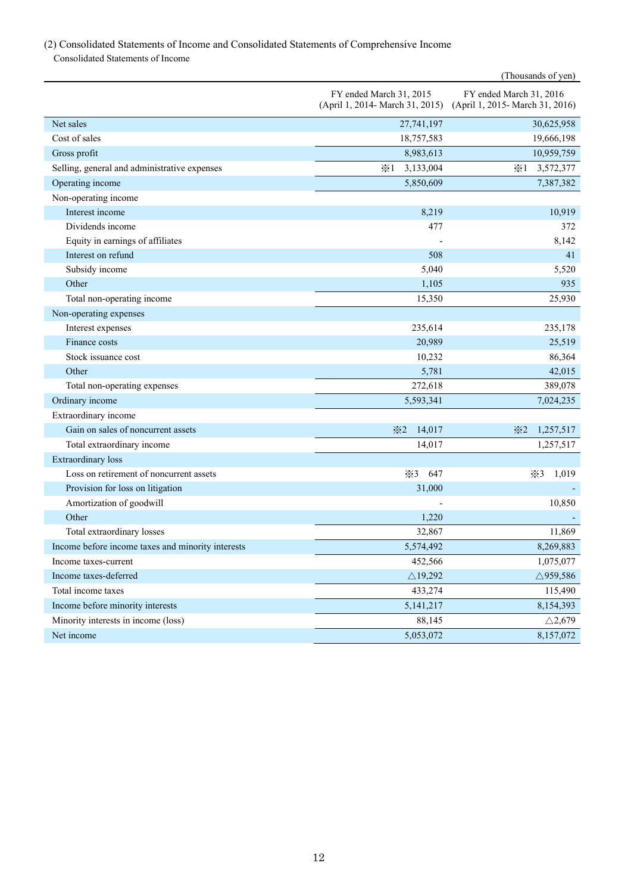## (2) Consolidated Statements of Income and Consolidated Statements of Comprehensive Income Consolidated Statements of Income

|                                                   |                                                            | (Thousands of yen)                                         |
|---------------------------------------------------|------------------------------------------------------------|------------------------------------------------------------|
|                                                   | FY ended March 31, 2015<br>(April 1, 2014- March 31, 2015) | FY ended March 31, 2016<br>(April 1, 2015- March 31, 2016) |
| Net sales                                         | 27,741,197                                                 | 30,625,958                                                 |
| Cost of sales                                     | 18,757,583                                                 | 19,666,198                                                 |
| Gross profit                                      | 8,983,613                                                  | 10,959,759                                                 |
| Selling, general and administrative expenses      | 3,133,004<br>$\times 1$                                    | $\times 1$<br>3,572,377                                    |
| Operating income                                  | 5,850,609                                                  | 7,387,382                                                  |
| Non-operating income                              |                                                            |                                                            |
| Interest income                                   | 8,219                                                      | 10,919                                                     |
| Dividends income                                  | 477                                                        | 372                                                        |
| Equity in earnings of affiliates                  |                                                            | 8,142                                                      |
| Interest on refund                                | 508                                                        | 41                                                         |
| Subsidy income                                    | 5,040                                                      | 5,520                                                      |
| Other                                             | 1,105                                                      | 935                                                        |
| Total non-operating income                        | 15,350                                                     | 25,930                                                     |
| Non-operating expenses                            |                                                            |                                                            |
| Interest expenses                                 | 235,614                                                    | 235,178                                                    |
| Finance costs                                     | 20,989                                                     | 25,519                                                     |
| Stock issuance cost                               | 10,232                                                     | 86,364                                                     |
| Other                                             | 5,781                                                      | 42,015                                                     |
| Total non-operating expenses                      | 272,618                                                    | 389,078                                                    |
| Ordinary income                                   | 5,593,341                                                  | 7,024,235                                                  |
| Extraordinary income                              |                                                            |                                                            |
| Gain on sales of noncurrent assets                | $\times 2$<br>14,017                                       | $\divideontimes$ 2<br>1,257,517                            |
| Total extraordinary income                        | 14,017                                                     | 1,257,517                                                  |
| <b>Extraordinary</b> loss                         |                                                            |                                                            |
| Loss on retirement of noncurrent assets           | $\times 3$<br>647                                          | $\times 3$<br>1,019                                        |
| Provision for loss on litigation                  | 31,000                                                     |                                                            |
| Amortization of goodwill                          |                                                            | 10,850                                                     |
| Other                                             | 1,220                                                      |                                                            |
| Total extraordinary losses                        | 32,867                                                     | 11,869                                                     |
| Income before income taxes and minority interests | 5,574,492                                                  | 8,269,883                                                  |
| Income taxes-current                              | 452,566                                                    | 1,075,077                                                  |
| Income taxes-deferred                             | $\triangle$ 19,292                                         | $\triangle$ 959,586                                        |
| Total income taxes                                | 433,274                                                    | 115,490                                                    |
| Income before minority interests                  | 5, 141, 217                                                | 8,154,393                                                  |
| Minority interests in income (loss)               | 88,145                                                     | $\triangle$ 2,679                                          |
| Net income                                        | 5,053,072                                                  | 8,157,072                                                  |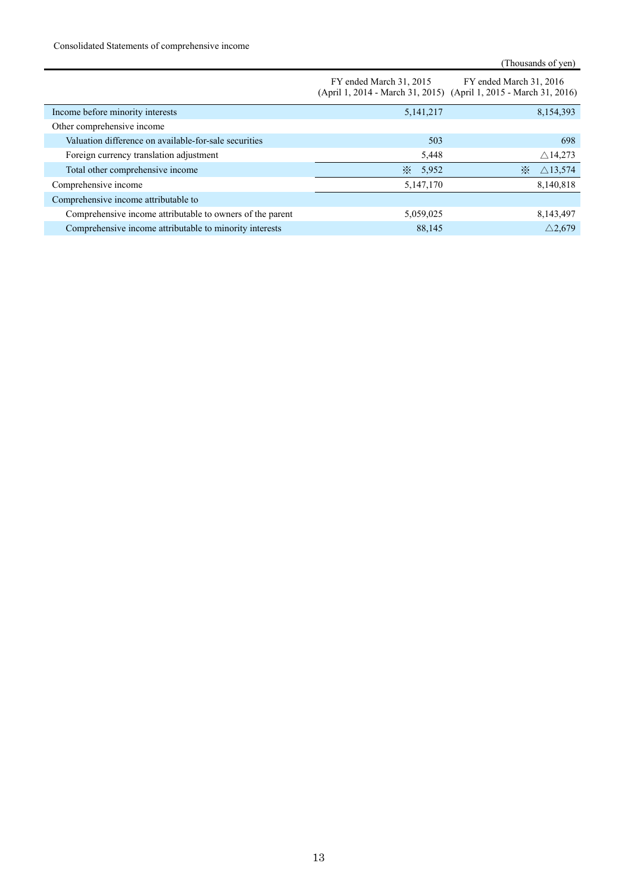Consolidated Statements of comprehensive income

|                                                           | FY ended March 31, 2015 | FY ended March 31, 2016<br>(April 1, 2014 - March 31, 2015) (April 1, 2015 - March 31, 2016) |
|-----------------------------------------------------------|-------------------------|----------------------------------------------------------------------------------------------|
| Income before minority interests                          | 5,141,217               | 8,154,393                                                                                    |
| Other comprehensive income                                |                         |                                                                                              |
| Valuation difference on available-for-sale securities     | 503                     | 698                                                                                          |
| Foreign currency translation adjustment                   | 5,448                   | $\triangle$ 14,273                                                                           |
| Total other comprehensive income                          | $\cdot$<br>5,952        | $\triangle$ 13,574<br>$\cdot$                                                                |
| Comprehensive income                                      | 5,147,170               | 8,140,818                                                                                    |
| Comprehensive income attributable to                      |                         |                                                                                              |
| Comprehensive income attributable to owners of the parent | 5,059,025               | 8,143,497                                                                                    |
| Comprehensive income attributable to minority interests   | 88.145                  | $\triangle$ 2.679                                                                            |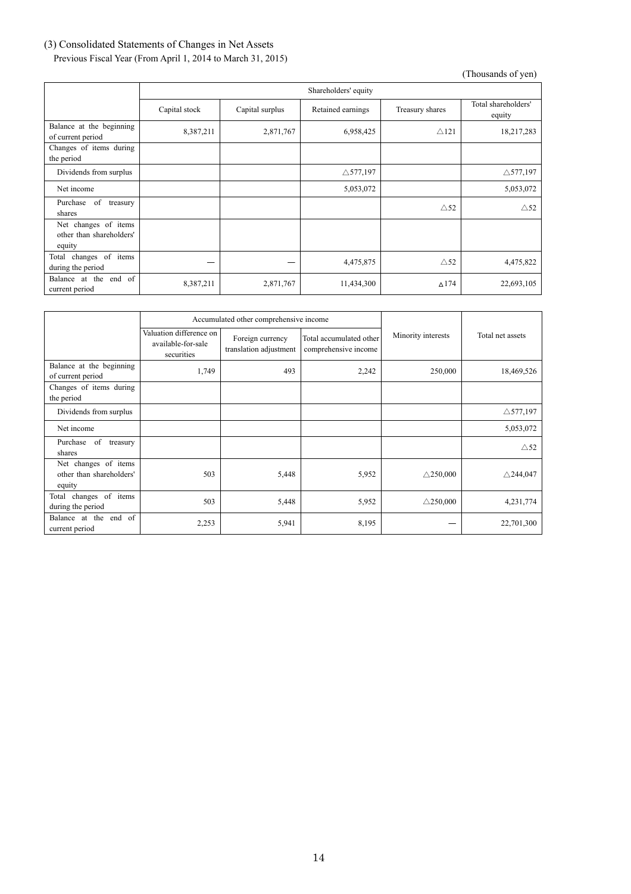# (3) Consolidated Statements of Changes in Net Assets

Previous Fiscal Year (From April 1, 2014 to March 31, 2015)

|                                                            | Shareholders' equity |                 |                     |                 |                               |
|------------------------------------------------------------|----------------------|-----------------|---------------------|-----------------|-------------------------------|
|                                                            | Capital stock        | Capital surplus | Retained earnings   | Treasury shares | Total shareholders'<br>equity |
| Balance at the beginning<br>of current period              | 8,387,211            | 2,871,767       | 6,958,425           | $\triangle$ 121 | 18,217,283                    |
| Changes of items during<br>the period                      |                      |                 |                     |                 |                               |
| Dividends from surplus                                     |                      |                 | $\triangle$ 577,197 |                 | $\triangle$ 577,197           |
| Net income                                                 |                      |                 | 5,053,072           |                 | 5,053,072                     |
| Purchase<br>of<br>treasury<br>shares                       |                      |                 |                     | $\triangle$ 52  | $\triangle$ 52                |
| Net changes of items<br>other than shareholders'<br>equity |                      |                 |                     |                 |                               |
| changes of items<br>Total<br>during the period             |                      |                 | 4,475,875           | $\triangle$ 52  | 4,475,822                     |
| Balance at the end of<br>current period                    | 8,387,211            | 2,871,767       | 11,434,300          | $\triangle$ 174 | 22,693,105                    |

|                                                            | Accumulated other comprehensive income                      |                                            |                                                 |                     |                     |
|------------------------------------------------------------|-------------------------------------------------------------|--------------------------------------------|-------------------------------------------------|---------------------|---------------------|
|                                                            | Valuation difference on<br>available-for-sale<br>securities | Foreign currency<br>translation adjustment | Total accumulated other<br>comprehensive income | Minority interests  | Total net assets    |
| Balance at the beginning<br>of current period              | 1,749                                                       | 493                                        | 2,242                                           | 250,000             | 18,469,526          |
| Changes of items during<br>the period                      |                                                             |                                            |                                                 |                     |                     |
| Dividends from surplus                                     |                                                             |                                            |                                                 |                     | $\triangle$ 577,197 |
| Net income                                                 |                                                             |                                            |                                                 |                     | 5,053,072           |
| of<br>Purchase<br>treasury<br>shares                       |                                                             |                                            |                                                 |                     | $\triangle$ 52      |
| Net changes of items<br>other than shareholders'<br>equity | 503                                                         | 5,448                                      | 5,952                                           | $\triangle$ 250,000 | $\triangle$ 244,047 |
| changes of items<br>Total<br>during the period             | 503                                                         | 5,448                                      | 5,952                                           | $\triangle$ 250,000 | 4,231,774           |
| Balance at the end of<br>current period                    | 2,253                                                       | 5,941                                      | 8,195                                           |                     | 22,701,300          |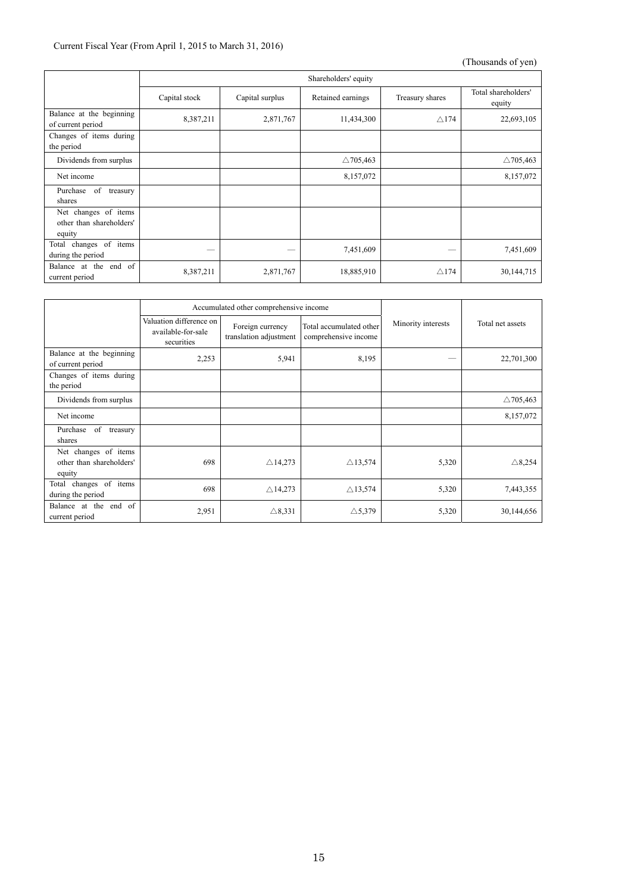## Current Fiscal Year (From April 1, 2015 to March 31, 2016)

|                                                            | Shareholders' equity |                 |                     |                 |                               |
|------------------------------------------------------------|----------------------|-----------------|---------------------|-----------------|-------------------------------|
|                                                            | Capital stock        | Capital surplus | Retained earnings   | Treasury shares | Total shareholders'<br>equity |
| Balance at the beginning<br>of current period              | 8,387,211            | 2,871,767       | 11,434,300          | $\triangle$ 174 | 22,693,105                    |
| Changes of items during<br>the period                      |                      |                 |                     |                 |                               |
| Dividends from surplus                                     |                      |                 | $\triangle$ 705,463 |                 | $\triangle$ 705,463           |
| Net income                                                 |                      |                 | 8,157,072           |                 | 8,157,072                     |
| of<br>Purchase<br>treasury<br>shares                       |                      |                 |                     |                 |                               |
| Net changes of items<br>other than shareholders'<br>equity |                      |                 |                     |                 |                               |
| changes of items<br>Total<br>during the period             |                      |                 | 7,451,609           | --              | 7,451,609                     |
| Balance at the end of<br>current period                    | 8,387,211            | 2,871,767       | 18,885,910          | $\triangle$ 174 | 30,144,715                    |

|                                                            |                                                             | Accumulated other comprehensive income     |                                                 |                    | Total net assets    |
|------------------------------------------------------------|-------------------------------------------------------------|--------------------------------------------|-------------------------------------------------|--------------------|---------------------|
|                                                            | Valuation difference on<br>available-for-sale<br>securities | Foreign currency<br>translation adjustment | Total accumulated other<br>comprehensive income | Minority interests |                     |
| Balance at the beginning<br>of current period              | 2,253                                                       | 5,941                                      | 8,195                                           | _                  | 22,701,300          |
| Changes of items during<br>the period                      |                                                             |                                            |                                                 |                    |                     |
| Dividends from surplus                                     |                                                             |                                            |                                                 |                    | $\triangle$ 705,463 |
| Net income                                                 |                                                             |                                            |                                                 |                    | 8,157,072           |
| of<br>Purchase<br>treasury<br>shares                       |                                                             |                                            |                                                 |                    |                     |
| Net changes of items<br>other than shareholders'<br>equity | 698                                                         | $\triangle$ 14,273                         | $\triangle$ 13,574                              | 5,320              | $\triangle$ 8,254   |
| changes of<br>items<br>Total<br>during the period          | 698                                                         | $\triangle$ 14,273                         | $\triangle$ 13,574                              | 5,320              | 7,443,355           |
| Balance at the end of<br>current period                    | 2,951                                                       | $\triangle$ 8,331                          | $\triangle$ 5,379                               | 5,320              | 30,144,656          |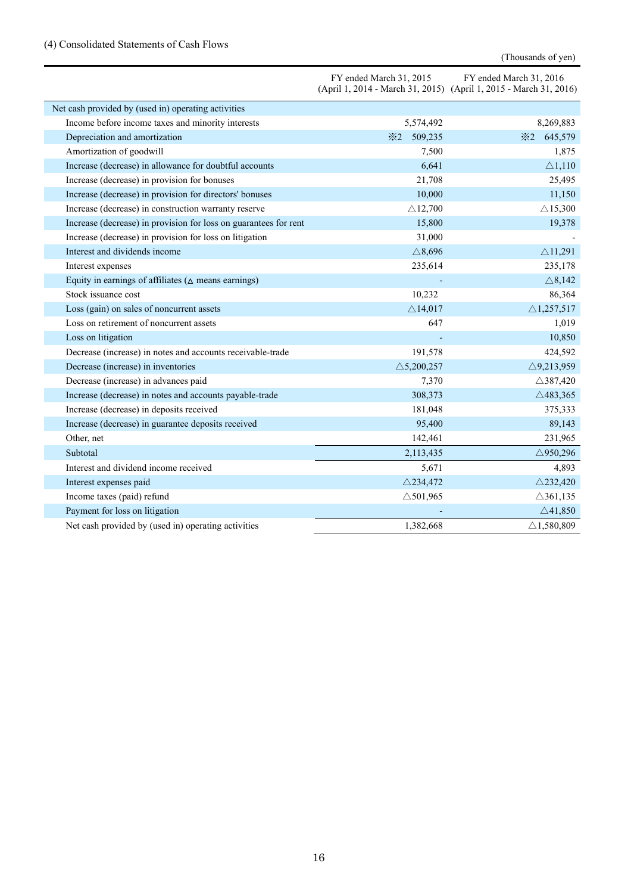# (4) Consolidated Statements of Cash Flows

|                                                                  | FY ended March 31, 2015 | FY ended March 31, 2016<br>(April 1, 2014 - March 31, 2015) (April 1, 2015 - March 31, 2016) |
|------------------------------------------------------------------|-------------------------|----------------------------------------------------------------------------------------------|
| Net cash provided by (used in) operating activities              |                         |                                                                                              |
| Income before income taxes and minority interests                | 5,574,492               | 8,269,883                                                                                    |
| Depreciation and amortization                                    | 509,235<br>$\times 2$   | 645,579<br>$\times 2$                                                                        |
| Amortization of goodwill                                         | 7,500                   | 1,875                                                                                        |
| Increase (decrease) in allowance for doubtful accounts           | 6,641                   | $\triangle$ 1,110                                                                            |
| Increase (decrease) in provision for bonuses                     | 21,708                  | 25,495                                                                                       |
| Increase (decrease) in provision for directors' bonuses          | 10,000                  | 11,150                                                                                       |
| Increase (decrease) in construction warranty reserve             | $\triangle$ 12,700      | $\triangle$ 15,300                                                                           |
| Increase (decrease) in provision for loss on guarantees for rent | 15,800                  | 19,378                                                                                       |
| Increase (decrease) in provision for loss on litigation          | 31,000                  |                                                                                              |
| Interest and dividends income                                    | $\triangle$ 8,696       | $\triangle$ 11,291                                                                           |
| Interest expenses                                                | 235,614                 | 235,178                                                                                      |
| Equity in earnings of affiliates ( $\triangle$ means earnings)   |                         | $\triangle$ 8,142                                                                            |
| Stock issuance cost                                              | 10,232                  | 86,364                                                                                       |
| Loss (gain) on sales of noncurrent assets                        | $\triangle$ 14,017      | $\triangle$ 1,257,517                                                                        |
| Loss on retirement of noncurrent assets                          | 647                     | 1,019                                                                                        |
| Loss on litigation                                               |                         | 10,850                                                                                       |
| Decrease (increase) in notes and accounts receivable-trade       | 191,578                 | 424,592                                                                                      |
| Decrease (increase) in inventories                               | $\triangle$ 5,200,257   | $\triangle$ 9,213,959                                                                        |
| Decrease (increase) in advances paid                             | 7,370                   | $\triangle$ 387,420                                                                          |
| Increase (decrease) in notes and accounts payable-trade          | 308,373                 | $\triangle$ 483,365                                                                          |
| Increase (decrease) in deposits received                         | 181,048                 | 375,333                                                                                      |
| Increase (decrease) in guarantee deposits received               | 95,400                  | 89,143                                                                                       |
| Other, net                                                       | 142,461                 | 231,965                                                                                      |
| Subtotal                                                         | 2,113,435               | $\triangle$ 950,296                                                                          |
| Interest and dividend income received                            | 5,671                   | 4,893                                                                                        |
| Interest expenses paid                                           | $\triangle$ 234,472     | $\triangle$ 232,420                                                                          |
| Income taxes (paid) refund                                       | $\triangle$ 501,965     | $\triangle$ 361,135                                                                          |
| Payment for loss on litigation                                   |                         | $\triangle$ 41,850                                                                           |
| Net cash provided by (used in) operating activities              | 1,382,668               | $\triangle$ 1,580,809                                                                        |